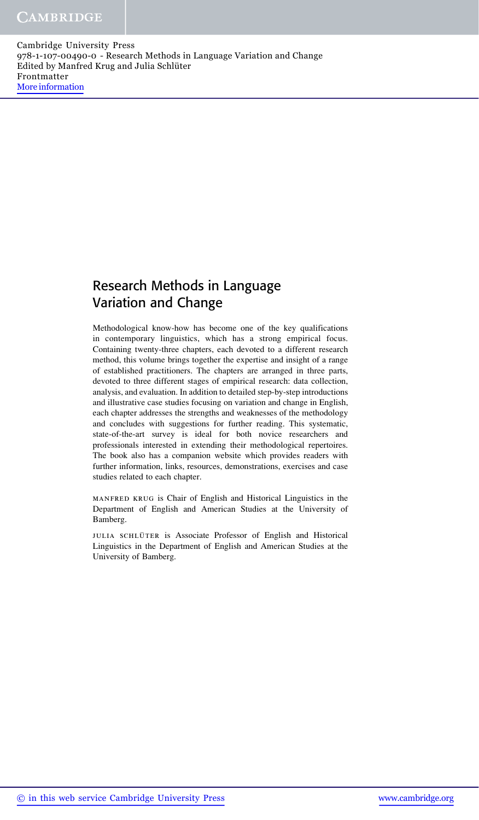Cambridge University Press 978-1-107-00490-0 - Research Methods in Language Variation and Change Edited by Manfred Krug and Julia Schlüter Frontmatter More information

### Research Methods in Language Variation and Change

Methodological know-how has become one of the key qualifications in contemporary linguistics, which has a strong empirical focus. Containing twenty-three chapters, each devoted to a different research method, this volume brings together the expertise and insight of a range of established practitioners. The chapters are arranged in three parts, devoted to three different stages of empirical research: data collection, analysis, and evaluation. In addition to detailed step-by-step introductions and illustrative case studies focusing on variation and change in English, each chapter addresses the strengths and weaknesses of the methodology and concludes with suggestions for further reading. This systematic, state-of-the-art survey is ideal for both novice researchers and professionals interested in extending their methodological repertoires. The book also has a companion website which provides readers with further information, links, resources, demonstrations, exercises and case studies related to each chapter.

manfred krug is Chair of English and Historical Linguistics in the Department of English and American Studies at the University of Bamberg.

JULIA SCHLÜTER is Associate Professor of English and Historical Linguistics in the Department of English and American Studies at the University of Bamberg.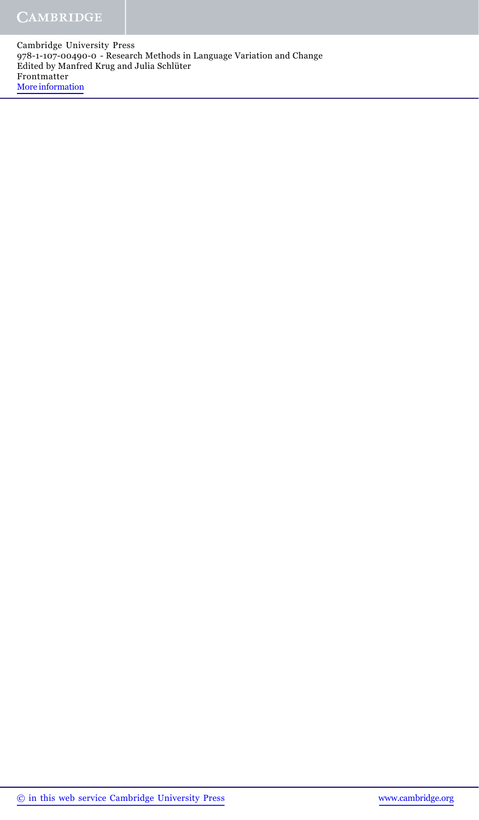Cambridge University Press 978-1-107-00490-0 - Research Methods in Language Variation and Change Edited by Manfred Krug and Julia Schlüter Frontmatter More information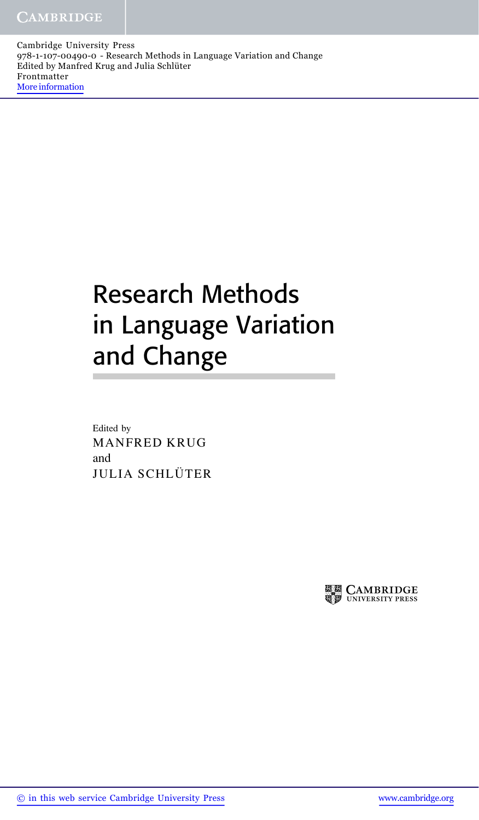Cambridge University Press 978-1-107-00490-0 - Research Methods in Language Variation and Change Edited by Manfred Krug and Julia Schlüter Frontmatter More information

# Research Methods in Language Variation and Change

Edited by MANFRED KRUG and JULIA SCHLÜTER

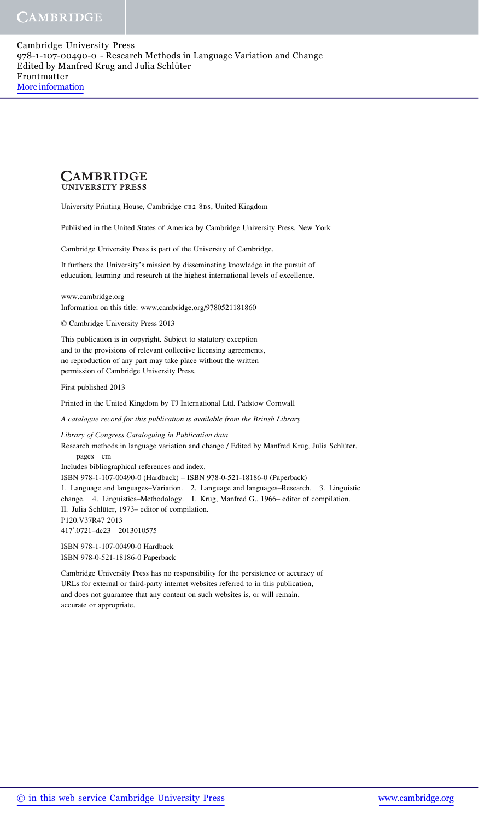#### **CAMBRIDGE UNIVERSITY PRESS**

University Printing House, Cambridge CB2 8BS, United Kingdom

Published in the United States of America by Cambridge University Press, New York

Cambridge University Press is part of the University of Cambridge.

It furthers the University's mission by disseminating knowledge in the pursuit of education, learning and research at the highest international levels of excellence.

www.cambridge.org Information on this title: www.cambridge.org/9780521181860

© Cambridge University Press 2013

This publication is in copyright. Subject to statutory exception and to the provisions of relevant collective licensing agreements, no reproduction of any part may take place without the written permission of Cambridge University Press.

First published 2013

Printed in the United Kingdom by TJ International Ltd. Padstow Cornwall

A catalogue record for this publication is available from the British Library

Library of Congress Cataloguing in Publication data

Research methods in language variation and change / Edited by Manfred Krug, Julia Schlüter. pages cm

Includes bibliographical references and index.

ISBN 978-1-107-00490-0 (Hardback) – ISBN 978-0-521-18186-0 (Paperback)

1. Language and languages–Variation. 2. Language and languages–Research. 3. Linguistic change. 4. Linguistics–Methodology. I. Krug, Manfred G., 1966– editor of compilation. II. Julia Schlüter, 1973– editor of compilation. P120.V37R47 2013

417<sup>0</sup> .0721–dc23 2013010575

ISBN 978-1-107-00490-0 Hardback ISBN 978-0-521-18186-0 Paperback

Cambridge University Press has no responsibility for the persistence or accuracy of URLs for external or third-party internet websites referred to in this publication, and does not guarantee that any content on such websites is, or will remain, accurate or appropriate.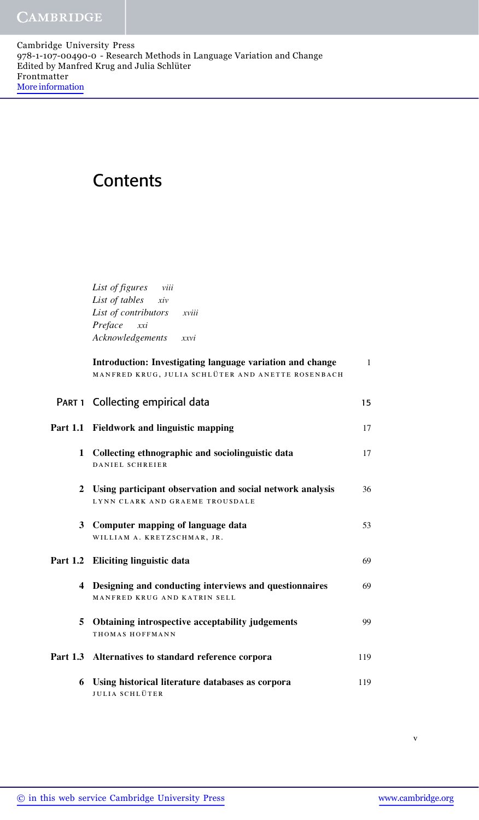### **Contents**

List of figures viii List of tables xiv List of contributors xviii Preface xxi Acknowledgements xxvi

|   | Introduction: Investigating language variation and change<br>MANFRED KRUG, JULIA SCHLÜTER AND ANETTE ROSENBACH | $\mathbf{1}$ |
|---|----------------------------------------------------------------------------------------------------------------|--------------|
|   | PART 1 Collecting empirical data                                                                               | 15           |
|   | Part 1.1 Fieldwork and linguistic mapping                                                                      | 17           |
|   | 1 Collecting ethnographic and sociolinguistic data<br>DANIEL SCHREIER                                          | 17           |
|   | 2 Using participant observation and social network analysis<br>LYNN CLARK AND GRAEME TROUSDALE                 | 36           |
|   | 3 Computer mapping of language data<br>WILLIAM A. KRETZSCHMAR, JR.                                             | 53           |
|   | Part 1.2 Eliciting linguistic data                                                                             | 69           |
|   | 4 Designing and conducting interviews and questionnaires<br>MANFRED KRUG AND KATRIN SELL                       | 69           |
|   | 5 Obtaining introspective acceptability judgements<br>THOMAS HOFFMANN                                          | 99           |
|   | Part 1.3 Alternatives to standard reference corpora                                                            | 119          |
| 6 | Using historical literature databases as corpora<br>JULIA SCHLÜTER                                             | 119          |

v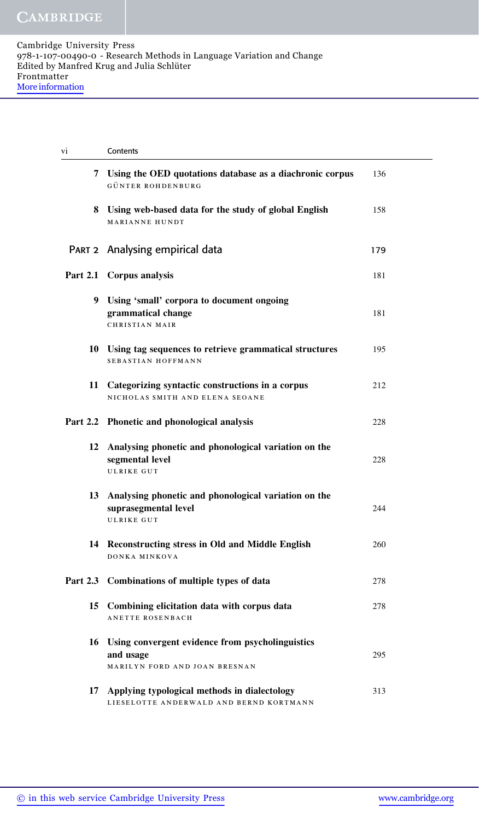| vi | Contents                                                                                             |     |
|----|------------------------------------------------------------------------------------------------------|-----|
|    | 7 Using the OED quotations database as a diachronic corpus<br>GÜNTER ROHDENBURG                      | 136 |
|    | 8 Using web-based data for the study of global English<br><b>MARIANNE HUNDT</b>                      | 158 |
|    | PART 2 Analysing empirical data                                                                      | 179 |
|    | Part 2.1 Corpus analysis                                                                             | 181 |
|    | 9 Using 'small' corpora to document ongoing<br>grammatical change<br>CHRISTIAN MAIR                  | 181 |
|    | 10 Using tag sequences to retrieve grammatical structures<br><b>SEBASTIAN HOFFMANN</b>               | 195 |
|    | 11 Categorizing syntactic constructions in a corpus<br>NICHOLAS SMITH AND ELENA SEOANE               | 212 |
|    | Part 2.2 Phonetic and phonological analysis                                                          | 228 |
| 12 | Analysing phonetic and phonological variation on the<br>segmental level<br><b>ULRIKE GUT</b>         | 228 |
|    | 13 Analysing phonetic and phonological variation on the<br>suprasegmental level<br><b>ULRIKE GUT</b> | 244 |
|    | 14 Reconstructing stress in Old and Middle English<br>DONKA MINKOVA                                  | 260 |
|    | Part 2.3 Combinations of multiple types of data                                                      | 278 |
|    | 15 Combining elicitation data with corpus data<br>ANETTE ROSENBACH                                   | 278 |
|    | 16 Using convergent evidence from psycholinguistics<br>and usage<br>MARILYN FORD AND JOAN BRESNAN    | 295 |
| 17 | Applying typological methods in dialectology<br>LIESELOTTE ANDERWALD AND BERND KORTMANN              | 313 |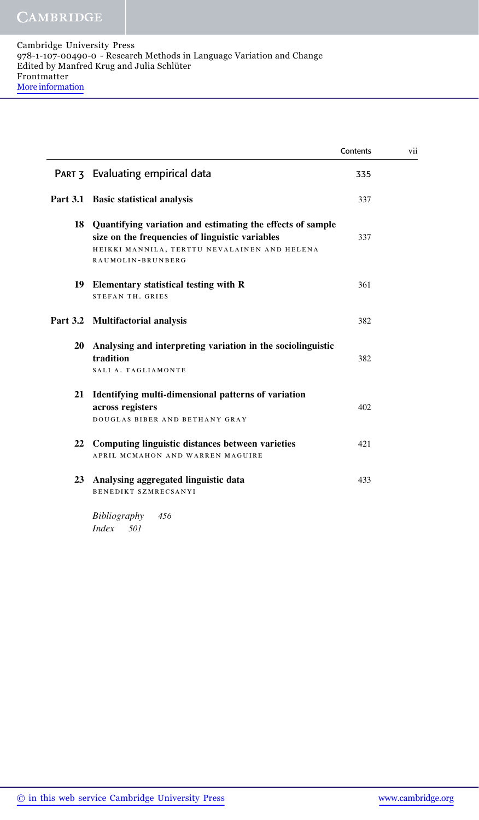|    |                                                                                                                                                                                    | Contents | V <sub>1</sub> |
|----|------------------------------------------------------------------------------------------------------------------------------------------------------------------------------------|----------|----------------|
|    | PART 3 Evaluating empirical data                                                                                                                                                   | 335      |                |
|    | Part 3.1 Basic statistical analysis                                                                                                                                                | 337      |                |
| 18 | Quantifying variation and estimating the effects of sample<br>size on the frequencies of linguistic variables<br>HEIKKI MANNILA, TERTTU NEVALAINEN AND HELENA<br>RAUMOLIN-BRUNBERG | 337      |                |
| 19 | Elementary statistical testing with R<br><b>STEFAN TH. GRIES</b>                                                                                                                   | 361      |                |
|    | Part 3.2 Multifactorial analysis                                                                                                                                                   | 382      |                |
| 20 | Analysing and interpreting variation in the sociolinguistic<br>tradition<br>SALI A. TAGLIAMONTE                                                                                    | 382      |                |
| 21 | Identifying multi-dimensional patterns of variation<br>across registers<br>DOUGLAS BIBER AND BETHANY GRAY                                                                          | 402      |                |
| 22 | Computing linguistic distances between varieties<br>APRIL MCMAHON AND WARREN MAGUIRE                                                                                               | 421      |                |
| 23 | Analysing aggregated linguistic data<br>BENEDIKT SZMRECSANYI                                                                                                                       | 433      |                |
|    | <i>Bibliography</i><br>456                                                                                                                                                         |          |                |

Index 501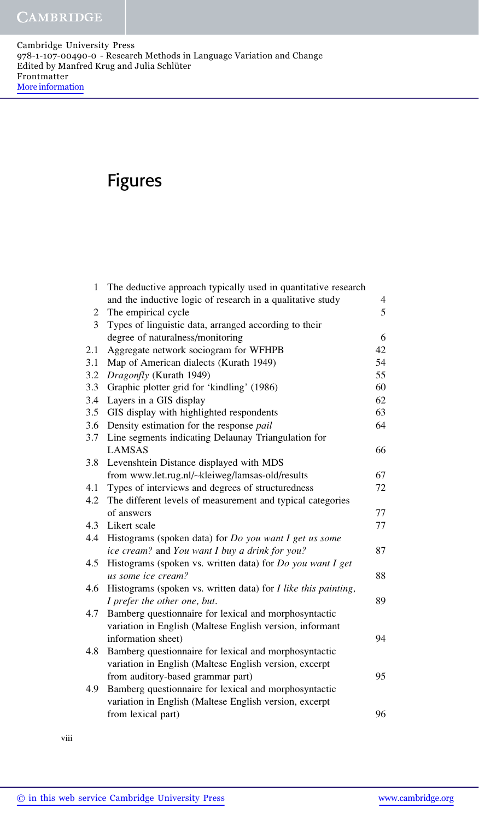## Figures

| 1   | The deductive approach typically used in quantitative research         |    |
|-----|------------------------------------------------------------------------|----|
|     | and the inductive logic of research in a qualitative study             | 4  |
| 2   | The empirical cycle                                                    | 5  |
| 3   | Types of linguistic data, arranged according to their                  |    |
|     | degree of naturalness/monitoring                                       | 6  |
| 2.1 | Aggregate network sociogram for WFHPB                                  | 42 |
| 3.1 | Map of American dialects (Kurath 1949)                                 | 54 |
| 3.2 | Dragonfly (Kurath 1949)                                                | 55 |
| 3.3 | Graphic plotter grid for 'kindling' (1986)                             | 60 |
| 3.4 | Layers in a GIS display                                                | 62 |
| 3.5 | GIS display with highlighted respondents                               | 63 |
| 3.6 | Density estimation for the response pail                               | 64 |
| 3.7 | Line segments indicating Delaunay Triangulation for                    |    |
|     | <b>LAMSAS</b>                                                          | 66 |
| 3.8 | Levenshtein Distance displayed with MDS                                |    |
|     | from www.let.rug.nl/~kleiweg/lamsas-old/results                        | 67 |
| 4.1 | Types of interviews and degrees of structuredness                      | 72 |
| 4.2 | The different levels of measurement and typical categories             |    |
|     | of answers                                                             | 77 |
| 4.3 | Likert scale                                                           | 77 |
| 4.4 | Histograms (spoken data) for Do you want I get us some                 |    |
|     | ice cream? and You want I buy a drink for you?                         | 87 |
| 4.5 | Histograms (spoken vs. written data) for <i>Do you want I get</i>      |    |
|     | us some ice cream?                                                     | 88 |
| 4.6 | Histograms (spoken vs. written data) for <i>I like this painting</i> , |    |
|     | I prefer the other one, but.                                           | 89 |
| 4.7 | Bamberg questionnaire for lexical and morphosyntactic                  |    |
|     | variation in English (Maltese English version, informant               |    |
|     | information sheet)                                                     | 94 |
| 4.8 | Bamberg questionnaire for lexical and morphosyntactic                  |    |
|     | variation in English (Maltese English version, excerpt                 |    |
|     | from auditory-based grammar part)                                      | 95 |
| 4.9 | Bamberg questionnaire for lexical and morphosyntactic                  |    |
|     | variation in English (Maltese English version, excerpt                 |    |
|     | from lexical part)                                                     | 96 |

viii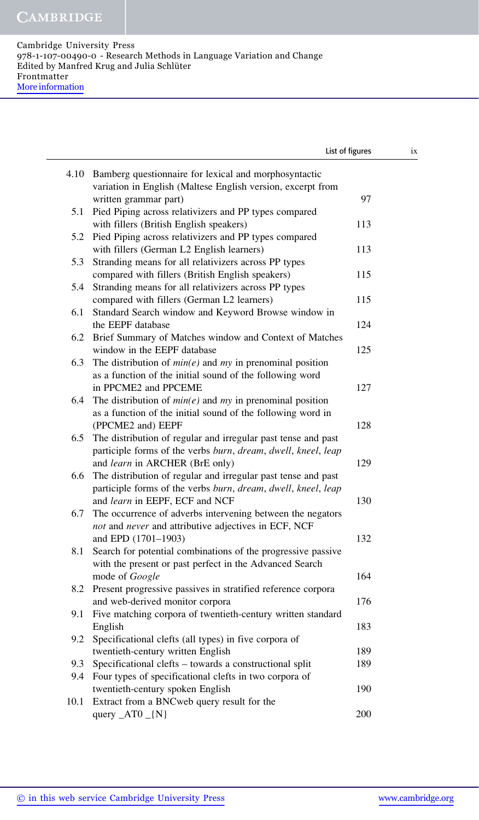|      |                                                                                                                      | List of figures | ix |
|------|----------------------------------------------------------------------------------------------------------------------|-----------------|----|
| 4.10 | Bamberg questionnaire for lexical and morphosyntactic<br>variation in English (Maltese English version, excerpt from |                 |    |
|      | written grammar part)                                                                                                | 97              |    |
| 5.1  | Pied Piping across relativizers and PP types compared                                                                |                 |    |
|      | with fillers (British English speakers)                                                                              | 113             |    |
|      | 5.2 Pied Piping across relativizers and PP types compared                                                            |                 |    |
|      | with fillers (German L2 English learners)                                                                            | 113             |    |
| 5.3  | Stranding means for all relativizers across PP types                                                                 |                 |    |
|      | compared with fillers (British English speakers)                                                                     | 115             |    |
| 5.4  | Stranding means for all relativizers across PP types                                                                 |                 |    |
|      | compared with fillers (German L2 learners)                                                                           | 115             |    |
| 6.1  | Standard Search window and Keyword Browse window in                                                                  |                 |    |
|      | the EEPF database                                                                                                    | 124             |    |
| 6.2  | Brief Summary of Matches window and Context of Matches                                                               |                 |    |
|      | window in the EEPF database                                                                                          | 125             |    |
| 6.3  | The distribution of $min(e)$ and my in prenominal position                                                           |                 |    |
|      | as a function of the initial sound of the following word                                                             |                 |    |
|      | in PPCME2 and PPCEME                                                                                                 | 127             |    |
| 6.4  | The distribution of $min(e)$ and my in prenominal position                                                           |                 |    |
|      | as a function of the initial sound of the following word in                                                          |                 |    |
|      | (PPCME2 and) EEPF                                                                                                    | 128             |    |
| 6.5  | The distribution of regular and irregular past tense and past                                                        |                 |    |
|      | participle forms of the verbs burn, dream, dwell, kneel, leap                                                        |                 |    |
|      | and learn in ARCHER (BrE only)                                                                                       | 129             |    |
| 6.6  | The distribution of regular and irregular past tense and past                                                        |                 |    |
|      | participle forms of the verbs burn, dream, dwell, kneel, leap                                                        |                 |    |
|      | and learn in EEPF, ECF and NCF                                                                                       | 130             |    |
| 6.7  | The occurrence of adverbs intervening between the negators                                                           |                 |    |
|      | not and never and attributive adjectives in ECF, NCF                                                                 |                 |    |
|      | and EPD (1701-1903)                                                                                                  | 132             |    |
| 8.1  | Search for potential combinations of the progressive passive                                                         |                 |    |
|      | with the present or past perfect in the Advanced Search                                                              |                 |    |
|      | mode of Google                                                                                                       | 164             |    |
| 8.2  | Present progressive passives in stratified reference corpora                                                         |                 |    |
|      | and web-derived monitor corpora                                                                                      | 176             |    |
| 9.1  | Five matching corpora of twentieth-century written standard                                                          |                 |    |
|      | English                                                                                                              | 183             |    |
| 9.2  | Specificational clefts (all types) in five corpora of                                                                |                 |    |
|      | twentieth-century written English                                                                                    | 189             |    |
| 9.3  | Specificational clefts - towards a constructional split                                                              | 189             |    |
|      | 9.4 Four types of specificational clefts in two corpora of                                                           |                 |    |
|      | twentieth-century spoken English                                                                                     | 190             |    |
| 10.1 | Extract from a BNCweb query result for the                                                                           |                 |    |
|      | query $AT0$ $\{N\}$                                                                                                  | 200             |    |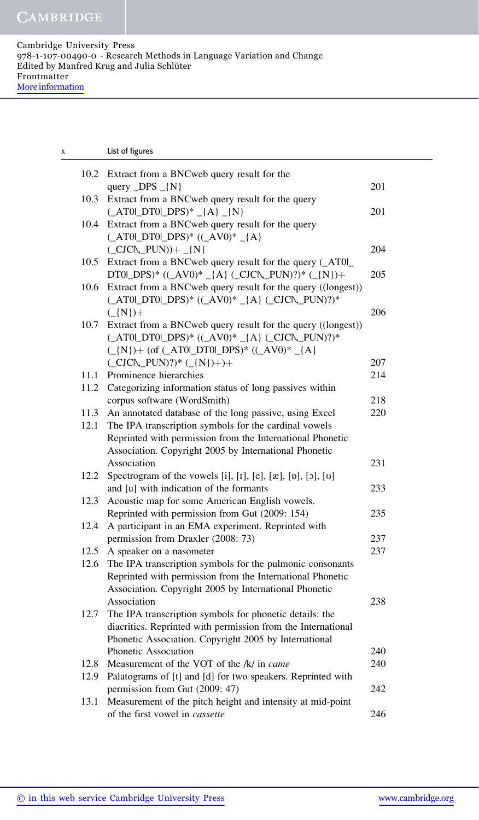| X |      | List of figures                                                                                  |     |
|---|------|--------------------------------------------------------------------------------------------------|-----|
|   |      | 10.2 Extract from a BNCweb query result for the                                                  |     |
|   |      | query _DPS $_{\text{N}}$                                                                         | 201 |
|   |      | 10.3 Extract from a BNCweb query result for the query                                            |     |
|   |      | $(\_AT0 \_DT0 \_DPS)^*$ $_{\_{}$ {A} $_{\_{}$ {N}                                                | 201 |
|   |      | 10.4 Extract from a BNCweb query result for the query                                            |     |
|   |      | $(\_AT0 \_DT0 \_DPS)^* ((\_AV0)^*  \_A)$                                                         |     |
|   |      | $(\_CJCN,$ $PUN)$ + $\_$ {N}                                                                     | 204 |
|   | 10.5 | Extract from a BNCweb query result for the query (_AT0 _                                         |     |
|   |      | DT0l_DPS)* $((\_AV0)^* \_ {A} (CJCA\_PUN)?)^* (\_ {N})+$                                         | 205 |
|   |      | 10.6 Extract from a BNCweb query result for the query ((longest))                                |     |
|   |      |                                                                                                  |     |
|   |      | $(\_AT0 \_DT0 \_DPS)*((\_AV0)* \_A)(\_CJCN,\_PUN)?)*$                                            | 206 |
|   |      | $(\lfloor N \rfloor) +$                                                                          |     |
|   |      | 10.7 Extract from a BNCweb query result for the query ((longest))                                |     |
|   |      | $(\_AT0 \_DT0 \_DPS)*((\_AV0)* \_A)(\_CJCN,\_PUN)?)*$                                            |     |
|   |      | $(\_ \{N\})+$ (of $(\_ \AT0\_{\underline{D}})$ T0l $\underline{D}$ PS)* $((\_ \AV0)^* \_ \{A\})$ |     |
|   |      | $(\_CICN,$ PUN)?)* $(\_ \{N\})+)+$                                                               | 207 |
|   |      | 11.1 Prominence hierarchies                                                                      | 214 |
|   | 11.2 | Categorizing information status of long passives within                                          |     |
|   |      | corpus software (WordSmith)                                                                      | 218 |
|   | 11.3 | An annotated database of the long passive, using Excel                                           | 220 |
|   | 12.1 | The IPA transcription symbols for the cardinal vowels                                            |     |
|   |      | Reprinted with permission from the International Phonetic                                        |     |
|   |      | Association. Copyright 2005 by International Phonetic                                            |     |
|   |      | Association                                                                                      | 231 |
|   |      | 12.2 Spectrogram of the vowels [i], [1], [e], [æ], [p], [o], [v]                                 |     |
|   |      | and [u] with indication of the formants                                                          | 233 |
|   | 12.3 | Acoustic map for some American English vowels.                                                   |     |
|   |      | Reprinted with permission from Gut (2009: 154)                                                   | 235 |
|   | 12.4 | A participant in an EMA experiment. Reprinted with                                               |     |
|   |      | permission from Draxler (2008: 73)                                                               | 237 |
|   | 12.5 | A speaker on a nasometer                                                                         | 237 |
|   | 12.6 | The IPA transcription symbols for the pulmonic consonants                                        |     |
|   |      | Reprinted with permission from the International Phonetic                                        |     |
|   |      | Association. Copyright 2005 by International Phonetic                                            |     |
|   |      | Association                                                                                      | 238 |
|   | 12.7 | The IPA transcription symbols for phonetic details: the                                          |     |
|   |      | diacritics. Reprinted with permission from the International                                     |     |
|   |      | Phonetic Association. Copyright 2005 by International                                            |     |
|   |      | Phonetic Association                                                                             | 240 |
|   | 12.8 | Measurement of the VOT of the /k/ in came                                                        | 240 |
|   | 12.9 | Palatograms of [t] and [d] for two speakers. Reprinted with                                      |     |
|   |      | permission from Gut (2009: 47)                                                                   | 242 |
|   | 13.1 | Measurement of the pitch height and intensity at mid-point                                       |     |
|   |      | of the first vowel in cassette                                                                   | 246 |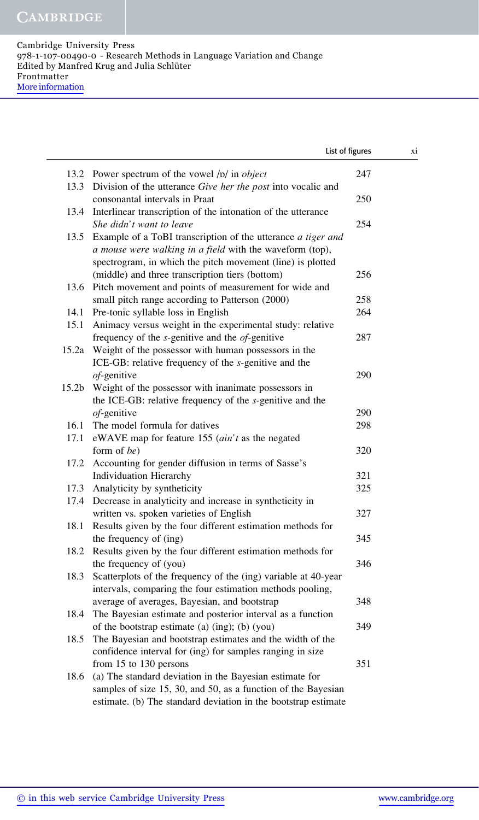÷

|                   |                                                                | List of figures | Xİ |
|-------------------|----------------------------------------------------------------|-----------------|----|
|                   | 13.2 Power spectrum of the vowel /p/ in <i>object</i>          | 247             |    |
| 13.3              | Division of the utterance Give her the post into vocalic and   |                 |    |
|                   | consonantal intervals in Praat                                 | 250             |    |
| 13.4              | Interlinear transcription of the intonation of the utterance   |                 |    |
|                   | She didn't want to leave                                       | 254             |    |
| 13.5              | Example of a ToBI transcription of the utterance a tiger and   |                 |    |
|                   | a mouse were walking in a field with the waveform (top),       |                 |    |
|                   | spectrogram, in which the pitch movement (line) is plotted     |                 |    |
|                   | (middle) and three transcription tiers (bottom)                | 256             |    |
| 13.6              | Pitch movement and points of measurement for wide and          |                 |    |
|                   | small pitch range according to Patterson (2000)                | 258             |    |
| 14.1              | Pre-tonic syllable loss in English                             | 264             |    |
| 15.1              | Animacy versus weight in the experimental study: relative      |                 |    |
|                   | frequency of the s-genitive and the of-genitive                | 287             |    |
| 15.2a             | Weight of the possessor with human possessors in the           |                 |    |
|                   | ICE-GB: relative frequency of the s-genitive and the           |                 |    |
|                   | of-genitive                                                    | 290             |    |
| 15.2 <sub>b</sub> | Weight of the possessor with inanimate possessors in           |                 |    |
|                   | the ICE-GB: relative frequency of the s-genitive and the       |                 |    |
|                   | $of$ -genitive                                                 | 290             |    |
| 16.1              | The model formula for datives                                  | 298             |    |
| 17.1              | eWAVE map for feature $155$ ( $ain't$ as the negated           |                 |    |
|                   | form of $be$ )                                                 | 320             |    |
| 17.2              | Accounting for gender diffusion in terms of Sasse's            |                 |    |
|                   | <b>Individuation Hierarchy</b>                                 | 321             |    |
| 17.3              | Analyticity by syntheticity                                    | 325             |    |
| 17.4              | Decrease in analyticity and increase in syntheticity in        |                 |    |
|                   | written vs. spoken varieties of English                        | 327             |    |
| 18.1              | Results given by the four different estimation methods for     |                 |    |
|                   | the frequency of (ing)                                         | 345             |    |
| 18.2              | Results given by the four different estimation methods for     |                 |    |
|                   | the frequency of (you)                                         | 346             |    |
| 18.3              | Scatterplots of the frequency of the (ing) variable at 40-year |                 |    |
|                   | intervals, comparing the four estimation methods pooling,      |                 |    |
|                   | average of averages, Bayesian, and bootstrap                   | 348             |    |
| 18.4              | The Bayesian estimate and posterior interval as a function     |                 |    |
|                   | of the bootstrap estimate (a) (ing); (b) (you)                 | 349             |    |
| 18.5              | The Bayesian and bootstrap estimates and the width of the      |                 |    |
|                   | confidence interval for (ing) for samples ranging in size      |                 |    |
|                   | from 15 to 130 persons                                         | 351             |    |
| 18.6              | (a) The standard deviation in the Bayesian estimate for        |                 |    |
|                   | samples of size 15, 30, and 50, as a function of the Bayesian  |                 |    |
|                   | estimate. (b) The standard deviation in the bootstrap estimate |                 |    |
|                   |                                                                |                 |    |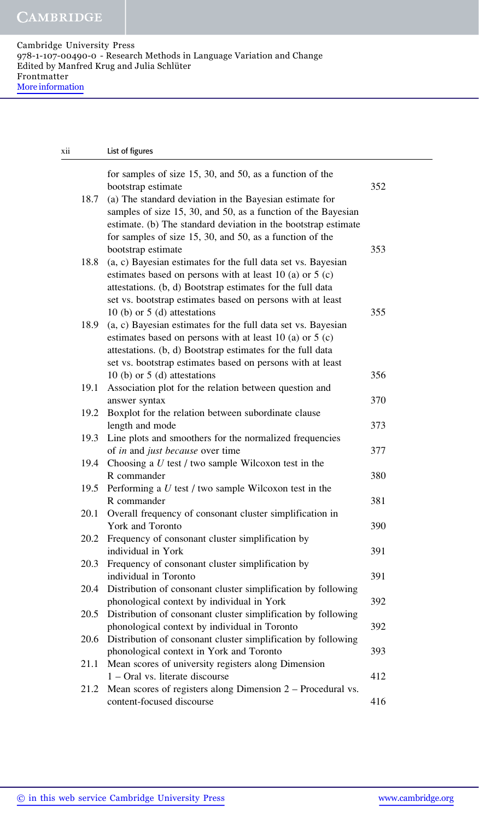| xii  | List of figures                                                                                                                                                                                |     |
|------|------------------------------------------------------------------------------------------------------------------------------------------------------------------------------------------------|-----|
| 18.7 | for samples of size $15$ , 30, and 50, as a function of the<br>bootstrap estimate<br>(a) The standard deviation in the Bayesian estimate for                                                   | 352 |
|      | samples of size 15, 30, and 50, as a function of the Bayesian<br>estimate. (b) The standard deviation in the bootstrap estimate<br>for samples of size $15$ , 30, and 50, as a function of the |     |
|      | bootstrap estimate                                                                                                                                                                             | 353 |
| 18.8 | (a, c) Bayesian estimates for the full data set vs. Bayesian                                                                                                                                   |     |
|      | estimates based on persons with at least 10 (a) or $5$ (c)                                                                                                                                     |     |
|      | attestations. (b, d) Bootstrap estimates for the full data                                                                                                                                     |     |
|      | set vs. bootstrap estimates based on persons with at least                                                                                                                                     |     |
|      | 10 (b) or 5 (d) attestations                                                                                                                                                                   | 355 |
| 18.9 | (a, c) Bayesian estimates for the full data set vs. Bayesian                                                                                                                                   |     |
|      | estimates based on persons with at least 10 (a) or $5$ (c)                                                                                                                                     |     |
|      | attestations. (b, d) Bootstrap estimates for the full data                                                                                                                                     |     |
|      | set vs. bootstrap estimates based on persons with at least                                                                                                                                     |     |
|      | 10 (b) or 5 (d) attestations                                                                                                                                                                   | 356 |
| 19.1 | Association plot for the relation between question and                                                                                                                                         |     |
|      | answer syntax                                                                                                                                                                                  | 370 |
|      | 19.2 Boxplot for the relation between subordinate clause<br>length and mode                                                                                                                    | 373 |
|      | 19.3 Line plots and smoothers for the normalized frequencies                                                                                                                                   |     |
|      | of in and just because over time                                                                                                                                                               | 377 |
|      | 19.4 Choosing a $U$ test / two sample Wilcoxon test in the                                                                                                                                     |     |
|      | R commander                                                                                                                                                                                    | 380 |
|      | 19.5 Performing a $U$ test / two sample Wilcoxon test in the                                                                                                                                   |     |
|      | R commander                                                                                                                                                                                    | 381 |
| 20.1 | Overall frequency of consonant cluster simplification in                                                                                                                                       |     |
|      | York and Toronto                                                                                                                                                                               | 390 |
|      | 20.2 Frequency of consonant cluster simplification by                                                                                                                                          |     |
|      | individual in York                                                                                                                                                                             | 391 |
| 20.3 | Frequency of consonant cluster simplification by                                                                                                                                               |     |
|      | individual in Toronto                                                                                                                                                                          | 391 |
|      | 20.4 Distribution of consonant cluster simplification by following                                                                                                                             |     |
|      | phonological context by individual in York                                                                                                                                                     | 392 |
| 20.5 | Distribution of consonant cluster simplification by following                                                                                                                                  |     |
|      | phonological context by individual in Toronto                                                                                                                                                  | 392 |
| 20.6 | Distribution of consonant cluster simplification by following                                                                                                                                  |     |
|      | phonological context in York and Toronto                                                                                                                                                       | 393 |
| 21.1 | Mean scores of university registers along Dimension                                                                                                                                            |     |
|      | 1 - Oral vs. literate discourse                                                                                                                                                                | 412 |
| 21.2 | Mean scores of registers along Dimension $2$ – Procedural vs.                                                                                                                                  |     |
|      | content-focused discourse                                                                                                                                                                      | 416 |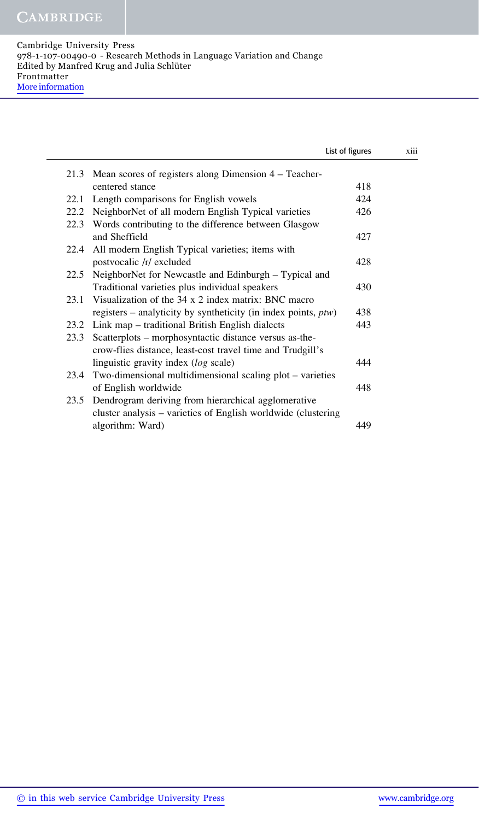|      |                                                                   | List of figures | xiii |
|------|-------------------------------------------------------------------|-----------------|------|
|      | 21.3 Mean scores of registers along Dimension 4 – Teacher-        |                 |      |
|      | centered stance                                                   | 418             |      |
| 22.1 | Length comparisons for English vowels                             | 424             |      |
|      | 22.2 NeighborNet of all modern English Typical varieties          | 426             |      |
|      | 22.3 Words contributing to the difference between Glasgow         |                 |      |
|      | and Sheffield                                                     | 427             |      |
| 22.4 | All modern English Typical varieties; items with                  |                 |      |
|      | postvocalic /r/ excluded                                          | 428             |      |
| 22.5 | NeighborNet for Newcastle and Edinburgh – Typical and             |                 |      |
|      | Traditional varieties plus individual speakers                    | 430             |      |
| 23.1 | Visualization of the 34 x 2 index matrix: BNC macro               |                 |      |
|      | registers – analyticity by syntheticity (in index points, $ptw$ ) | 438             |      |
|      | 23.2 Link map - traditional British English dialects              | 443             |      |
|      | 23.3 Scatterplots – morphosyntactic distance versus as-the-       |                 |      |
|      | crow-flies distance, least-cost travel time and Trudgill's        |                 |      |
|      | linguistic gravity index (log scale)                              | 444             |      |
|      | 23.4 Two-dimensional multidimensional scaling plot – varieties    |                 |      |
|      | of English worldwide                                              | 448             |      |
| 23.5 | Dendrogram deriving from hierarchical agglomerative               |                 |      |
|      | cluster analysis – varieties of English worldwide (clustering     |                 |      |
|      | algorithm: Ward)                                                  | 449             |      |
|      |                                                                   |                 |      |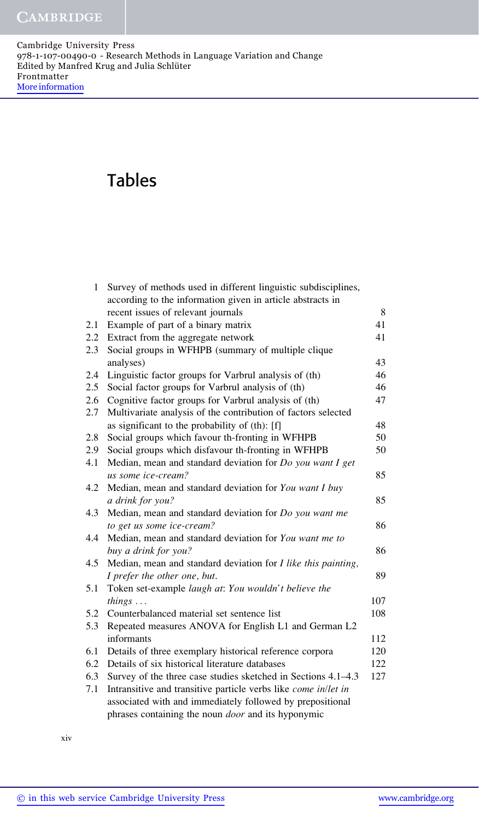## Tables

| 1   | Survey of methods used in different linguistic subdisciplines,        |     |  |
|-----|-----------------------------------------------------------------------|-----|--|
|     | according to the information given in article abstracts in            |     |  |
|     | recent issues of relevant journals                                    | 8   |  |
| 2.1 | Example of part of a binary matrix                                    | 41  |  |
| 2.2 | Extract from the aggregate network                                    | 41  |  |
| 2.3 | Social groups in WFHPB (summary of multiple clique                    |     |  |
|     | analyses)                                                             | 43  |  |
| 2.4 | Linguistic factor groups for Varbrul analysis of (th)                 | 46  |  |
| 2.5 | Social factor groups for Varbrul analysis of (th)                     | 46  |  |
| 2.6 | Cognitive factor groups for Varbrul analysis of (th)                  | 47  |  |
| 2.7 | Multivariate analysis of the contribution of factors selected         |     |  |
|     | as significant to the probability of (th): [f]                        | 48  |  |
| 2.8 | Social groups which favour th-fronting in WFHPB                       | 50  |  |
| 2.9 | Social groups which disfavour th-fronting in WFHPB                    | 50  |  |
| 4.1 | Median, mean and standard deviation for Do you want I get             |     |  |
|     | us some ice-cream?                                                    | 85  |  |
| 4.2 | Median, mean and standard deviation for You want I buy                |     |  |
|     | a drink for you?                                                      | 85  |  |
| 4.3 | Median, mean and standard deviation for Do you want me                |     |  |
|     | to get us some ice-cream?                                             | 86  |  |
| 4.4 | Median, mean and standard deviation for You want me to                |     |  |
|     | buy a drink for you?                                                  | 86  |  |
| 4.5 | Median, mean and standard deviation for <i>I like this painting</i> , |     |  |
|     | I prefer the other one, but.                                          | 89  |  |
| 5.1 | Token set-example laugh at: You wouldn't believe the                  |     |  |
|     | $things \ldots$                                                       | 107 |  |
| 5.2 | Counterbalanced material set sentence list                            | 108 |  |
| 5.3 | Repeated measures ANOVA for English L1 and German L2                  |     |  |
|     | informants                                                            | 112 |  |
| 6.1 | Details of three exemplary historical reference corpora               | 120 |  |
| 6.2 | Details of six historical literature databases                        | 122 |  |
| 6.3 | Survey of the three case studies sketched in Sections 4.1–4.3         | 127 |  |
| 7.1 | Intransitive and transitive particle verbs like come in/let in        |     |  |
|     | associated with and immediately followed by prepositional             |     |  |
|     | phrases containing the noun <i>door</i> and its hyponymic             |     |  |

xiv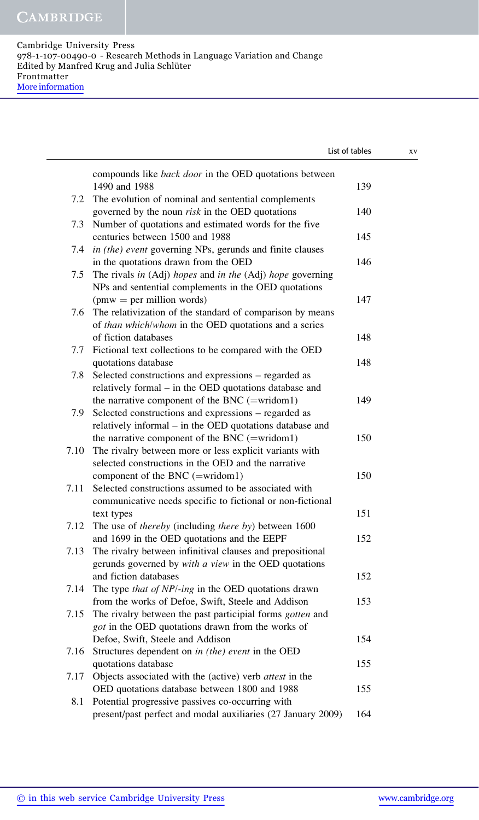|                                                                          | List of tables | XV |
|--------------------------------------------------------------------------|----------------|----|
| compounds like <i>back door</i> in the OED quotations between            |                |    |
| 1490 and 1988                                                            | 139            |    |
| 7.2<br>The evolution of nominal and sentential complements               |                |    |
| governed by the noun risk in the OED quotations                          | 140            |    |
| Number of quotations and estimated words for the five<br>7.3             |                |    |
| centuries between 1500 and 1988                                          | 145            |    |
| in (the) event governing NPs, gerunds and finite clauses<br>7.4          |                |    |
| in the quotations drawn from the OED                                     | 146            |    |
| The rivals in (Adj) hopes and in the (Adj) hope governing<br>7.5         |                |    |
| NPs and sentential complements in the OED quotations                     |                |    |
| $(pmw = per million words)$                                              | 147            |    |
| The relativization of the standard of comparison by means<br>7.6         |                |    |
| of than which/whom in the OED quotations and a series                    |                |    |
| of fiction databases                                                     | 148            |    |
| 7.7<br>Fictional text collections to be compared with the OED            |                |    |
| quotations database                                                      | 148            |    |
| Selected constructions and expressions – regarded as<br>7.8              |                |    |
| relatively formal – in the OED quotations database and                   |                |    |
| the narrative component of the BNC $(={\rm{wridom1}})$                   | 149            |    |
| Selected constructions and expressions - regarded as<br>7.9              |                |    |
| relatively informal – in the OED quotations database and                 |                |    |
| the narrative component of the BNC $(=$ wridom1)                         | 150            |    |
| 7.10<br>The rivalry between more or less explicit variants with          |                |    |
| selected constructions in the OED and the narrative                      |                |    |
| component of the BNC $(=\text{wridom1})$                                 | 150            |    |
| Selected constructions assumed to be associated with<br>7.11             |                |    |
| communicative needs specific to fictional or non-fictional               |                |    |
| text types                                                               | 151            |    |
| The use of thereby (including there by) between 1600<br>7.12             |                |    |
| and 1699 in the OED quotations and the EEPF                              | 152            |    |
| The rivalry between infinitival clauses and prepositional<br>7.13        |                |    |
| gerunds governed by with a view in the OED quotations                    |                |    |
| and fiction databases                                                    | 152            |    |
| The type that of $NP$ -ing in the OED quotations drawn<br>7.14           |                |    |
| from the works of Defoe, Swift, Steele and Addison                       | 153            |    |
| The rivalry between the past participial forms <i>gotten</i> and<br>7.15 |                |    |
| got in the OED quotations drawn from the works of                        |                |    |
| Defoe, Swift, Steele and Addison                                         | 154            |    |
| Structures dependent on in (the) event in the OED<br>7.16                |                |    |
| quotations database                                                      | 155            |    |
| 7.17<br>Objects associated with the (active) verb attest in the          |                |    |
| OED quotations database between 1800 and 1988                            | 155            |    |
| 8.1<br>Potential progressive passives co-occurring with                  |                |    |
| present/past perfect and modal auxiliaries (27 January 2009)             | 164            |    |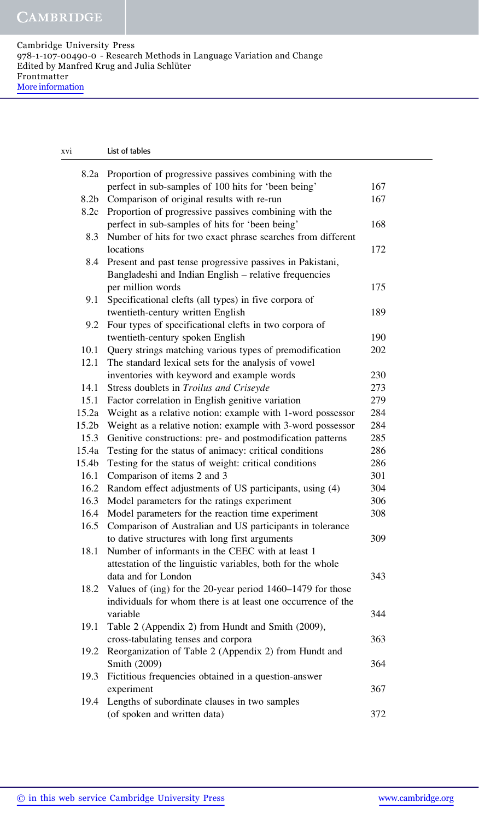| xvi |                   | List of tables                                                |     |
|-----|-------------------|---------------------------------------------------------------|-----|
|     | 8.2a              | Proportion of progressive passives combining with the         |     |
|     |                   | perfect in sub-samples of 100 hits for 'been being'           | 167 |
|     | 8.2b              | Comparison of original results with re-run                    | 167 |
|     |                   | 8.2c Proportion of progressive passives combining with the    |     |
|     |                   | perfect in sub-samples of hits for 'been being'               | 168 |
|     | 8.3               | Number of hits for two exact phrase searches from different   |     |
|     |                   | locations                                                     | 172 |
|     |                   | 8.4 Present and past tense progressive passives in Pakistani, |     |
|     |                   | Bangladeshi and Indian English - relative frequencies         |     |
|     |                   | per million words                                             | 175 |
|     | 9.1               | Specificational clefts (all types) in five corpora of         |     |
|     |                   | twentieth-century written English                             | 189 |
|     | 9.2               | Four types of specificational clefts in two corpora of        |     |
|     |                   | twentieth-century spoken English                              | 190 |
|     | 10.1              | Query strings matching various types of premodification       | 202 |
|     | 12.1              | The standard lexical sets for the analysis of vowel           |     |
|     |                   | inventories with keyword and example words                    | 230 |
|     | 14.1              | Stress doublets in Troilus and Criseyde                       | 273 |
|     | 15.1              | Factor correlation in English genitive variation              | 279 |
|     | 15.2a             | Weight as a relative notion: example with 1-word possessor    | 284 |
|     | 15.2 <sub>b</sub> | Weight as a relative notion: example with 3-word possessor    | 284 |
|     | 15.3              | Genitive constructions: pre- and postmodification patterns    | 285 |
|     | 15.4a             | Testing for the status of animacy: critical conditions        | 286 |
|     | 15.4b             | Testing for the status of weight: critical conditions         | 286 |
|     | 16.1              | Comparison of items 2 and 3                                   | 301 |
|     | 16.2              | Random effect adjustments of US participants, using (4)       | 304 |
|     | 16.3              | Model parameters for the ratings experiment                   | 306 |
|     | 16.4              | Model parameters for the reaction time experiment             | 308 |
|     | 16.5              | Comparison of Australian and US participants in tolerance     |     |
|     |                   | to dative structures with long first arguments                | 309 |
|     | 18.1              | Number of informants in the CEEC with at least 1              |     |
|     |                   | attestation of the linguistic variables, both for the whole   |     |
|     |                   | data and for London                                           | 343 |
|     | 18.2              | Values of (ing) for the 20-year period 1460–1479 for those    |     |
|     |                   | individuals for whom there is at least one occurrence of the  |     |
|     |                   | variable                                                      | 344 |
|     | 19.1              | Table 2 (Appendix 2) from Hundt and Smith (2009),             |     |
|     |                   | cross-tabulating tenses and corpora                           | 363 |
|     |                   | 19.2 Reorganization of Table 2 (Appendix 2) from Hundt and    |     |
|     |                   | Smith (2009)                                                  | 364 |
|     | 19.3              | Fictitious frequencies obtained in a question-answer          |     |
|     |                   | experiment                                                    | 367 |
|     | 19.4              | Lengths of subordinate clauses in two samples                 |     |
|     |                   | (of spoken and written data)                                  | 372 |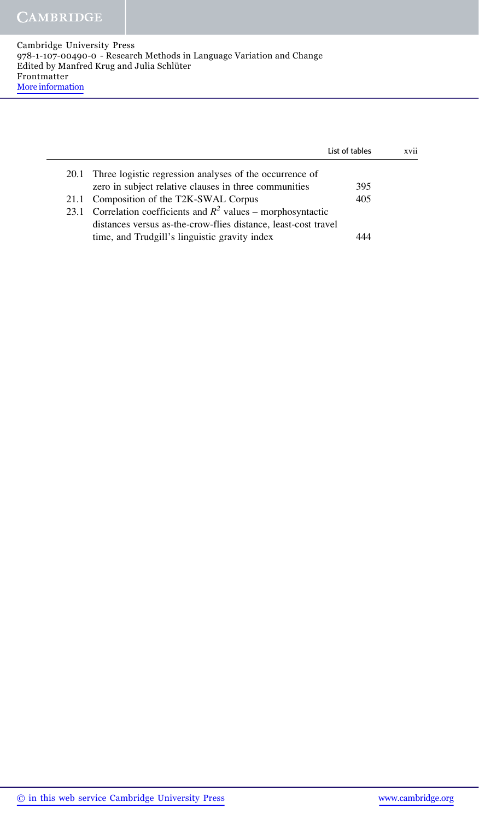|                                                                  | List of tables | xvii |
|------------------------------------------------------------------|----------------|------|
| 20.1 Three logistic regression analyses of the occurrence of     |                |      |
| zero in subject relative clauses in three communities            | 395            |      |
| 21.1 Composition of the T2K-SWAL Corpus                          | 405            |      |
| 23.1 Correlation coefficients and $R^2$ values – morphosyntactic |                |      |
| distances versus as-the-crow-flies distance, least-cost travel   |                |      |
| time, and Trudgill's linguistic gravity index                    |                |      |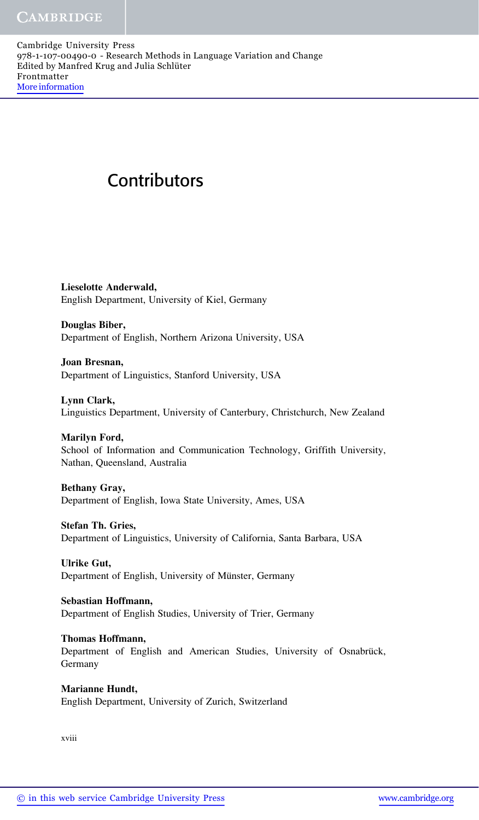### **Contributors**

Lieselotte Anderwald, English Department, University of Kiel, Germany

Douglas Biber, Department of English, Northern Arizona University, USA

Joan Bresnan, Department of Linguistics, Stanford University, USA

Lynn Clark, Linguistics Department, University of Canterbury, Christchurch, New Zealand

Marilyn Ford, School of Information and Communication Technology, Griffith University, Nathan, Queensland, Australia

Bethany Gray, Department of English, Iowa State University, Ames, USA

Stefan Th. Gries, Department of Linguistics, University of California, Santa Barbara, USA

Ulrike Gut, Department of English, University of Münster, Germany

Sebastian Hoffmann, Department of English Studies, University of Trier, Germany

Thomas Hoffmann, Department of English and American Studies, University of Osnabrück, Germany

Marianne Hundt, English Department, University of Zurich, Switzerland

xviii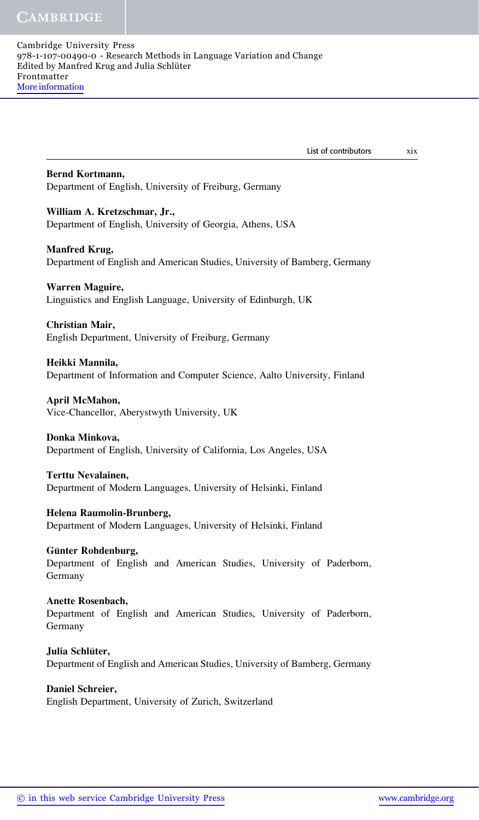List of contributors xix

Bernd Kortmann, Department of English, University of Freiburg, Germany

William A. Kretzschmar, Jr., Department of English, University of Georgia, Athens, USA

Manfred Krug, Department of English and American Studies, University of Bamberg, Germany

Warren Maguire, Linguistics and English Language, University of Edinburgh, UK

Christian Mair, English Department, University of Freiburg, Germany

Heikki Mannila, Department of Information and Computer Science, Aalto University, Finland

April McMahon, Vice-Chancellor, Aberystwyth University, UK

Donka Minkova, Department of English, University of California, Los Angeles, USA

Terttu Nevalainen, Department of Modern Languages, University of Helsinki, Finland

Helena Raumolin-Brunberg, Department of Modern Languages, University of Helsinki, Finland

Günter Rohdenburg, Department of English and American Studies, University of Paderborn, Germany

Anette Rosenbach, Department of English and American Studies, University of Paderborn, Germany

Julia Schlüter, Department of English and American Studies, University of Bamberg, Germany

Daniel Schreier, English Department, University of Zurich, Switzerland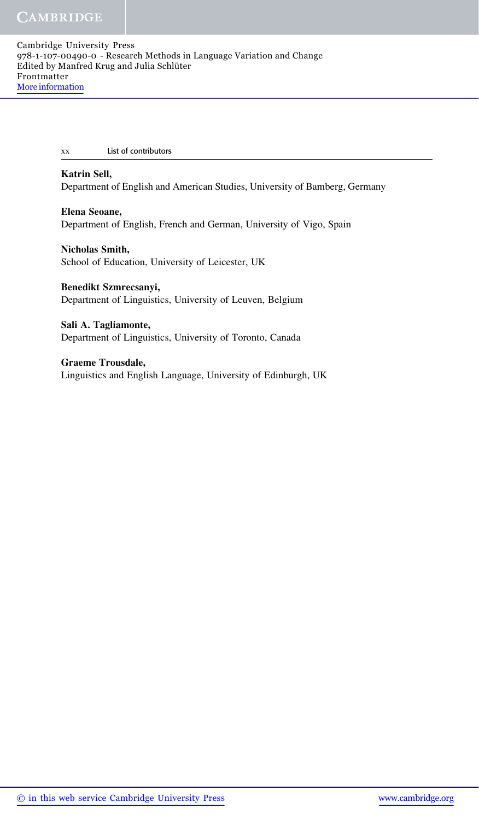xx List of contributors

### Katrin Sell,

Department of English and American Studies, University of Bamberg, Germany

Elena Seoane, Department of English, French and German, University of Vigo, Spain

Nicholas Smith, School of Education, University of Leicester, UK

Benedikt Szmrecsanyi, Department of Linguistics, University of Leuven, Belgium

Sali A. Tagliamonte, Department of Linguistics, University of Toronto, Canada

Graeme Trousdale, Linguistics and English Language, University of Edinburgh, UK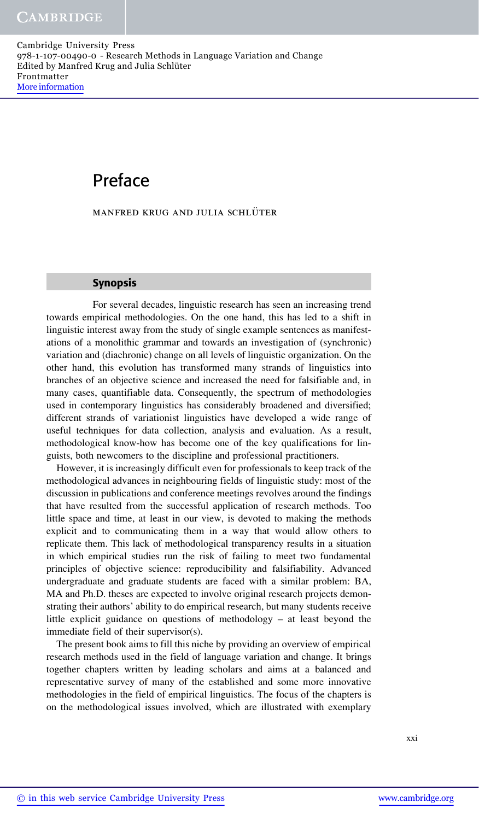### Preface

MANFRED KRUG AND JULIA SCHLÜTER

#### Synopsis

For several decades, linguistic research has seen an increasing trend towards empirical methodologies. On the one hand, this has led to a shift in linguistic interest away from the study of single example sentences as manifestations of a monolithic grammar and towards an investigation of (synchronic) variation and (diachronic) change on all levels of linguistic organization. On the other hand, this evolution has transformed many strands of linguistics into branches of an objective science and increased the need for falsifiable and, in many cases, quantifiable data. Consequently, the spectrum of methodologies used in contemporary linguistics has considerably broadened and diversified; different strands of variationist linguistics have developed a wide range of useful techniques for data collection, analysis and evaluation. As a result, methodological know-how has become one of the key qualifications for linguists, both newcomers to the discipline and professional practitioners.

However, it is increasingly difficult even for professionals to keep track of the methodological advances in neighbouring fields of linguistic study: most of the discussion in publications and conference meetings revolves around the findings that have resulted from the successful application of research methods. Too little space and time, at least in our view, is devoted to making the methods explicit and to communicating them in a way that would allow others to replicate them. This lack of methodological transparency results in a situation in which empirical studies run the risk of failing to meet two fundamental principles of objective science: reproducibility and falsifiability. Advanced undergraduate and graduate students are faced with a similar problem: BA, MA and Ph.D. theses are expected to involve original research projects demonstrating their authors' ability to do empirical research, but many students receive little explicit guidance on questions of methodology – at least beyond the immediate field of their supervisor(s).

The present book aims to fill this niche by providing an overview of empirical research methods used in the field of language variation and change. It brings together chapters written by leading scholars and aims at a balanced and representative survey of many of the established and some more innovative methodologies in the field of empirical linguistics. The focus of the chapters is on the methodological issues involved, which are illustrated with exemplary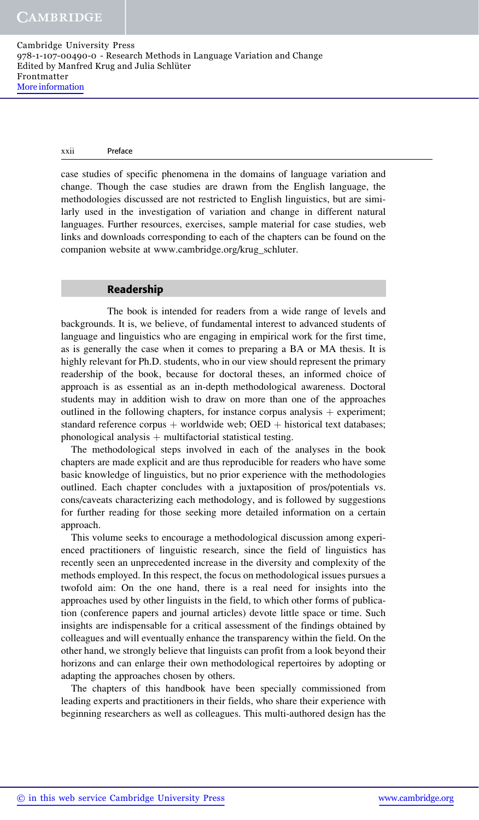xxii Preface

case studies of specific phenomena in the domains of language variation and change. Though the case studies are drawn from the English language, the methodologies discussed are not restricted to English linguistics, but are similarly used in the investigation of variation and change in different natural languages. Further resources, exercises, sample material for case studies, web links and downloads corresponding to each of the chapters can be found on the companion website at www.cambridge.org/krug\_schluter.

#### Readership

The book is intended for readers from a wide range of levels and backgrounds. It is, we believe, of fundamental interest to advanced students of language and linguistics who are engaging in empirical work for the first time, as is generally the case when it comes to preparing a BA or MA thesis. It is highly relevant for Ph.D. students, who in our view should represent the primary readership of the book, because for doctoral theses, an informed choice of approach is as essential as an in-depth methodological awareness. Doctoral students may in addition wish to draw on more than one of the approaches outlined in the following chapters, for instance corpus analysis  $+$  experiment; standard reference corpus  $+$  worldwide web; OED  $+$  historical text databases; phonological analysis  $+$  multifactorial statistical testing.

The methodological steps involved in each of the analyses in the book chapters are made explicit and are thus reproducible for readers who have some basic knowledge of linguistics, but no prior experience with the methodologies outlined. Each chapter concludes with a juxtaposition of pros/potentials vs. cons/caveats characterizing each methodology, and is followed by suggestions for further reading for those seeking more detailed information on a certain approach.

This volume seeks to encourage a methodological discussion among experienced practitioners of linguistic research, since the field of linguistics has recently seen an unprecedented increase in the diversity and complexity of the methods employed. In this respect, the focus on methodological issues pursues a twofold aim: On the one hand, there is a real need for insights into the approaches used by other linguists in the field, to which other forms of publication (conference papers and journal articles) devote little space or time. Such insights are indispensable for a critical assessment of the findings obtained by colleagues and will eventually enhance the transparency within the field. On the other hand, we strongly believe that linguists can profit from a look beyond their horizons and can enlarge their own methodological repertoires by adopting or adapting the approaches chosen by others.

The chapters of this handbook have been specially commissioned from leading experts and practitioners in their fields, who share their experience with beginning researchers as well as colleagues. This multi-authored design has the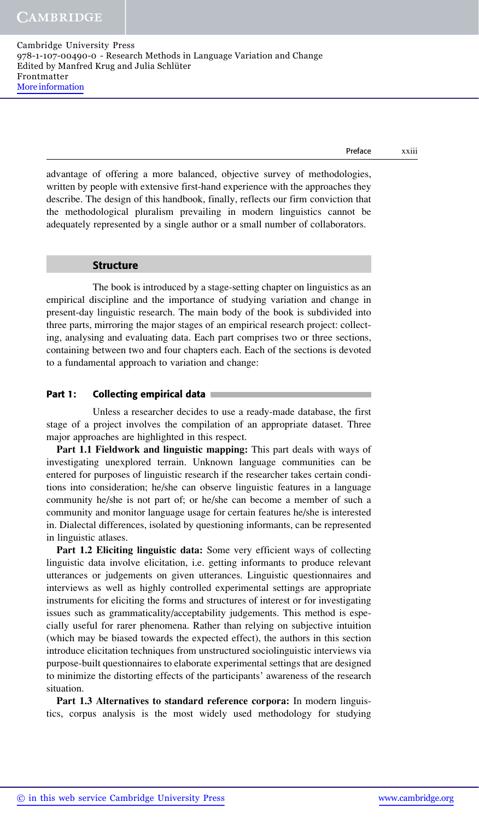Preface xxiii

advantage of offering a more balanced, objective survey of methodologies, written by people with extensive first-hand experience with the approaches they describe. The design of this handbook, finally, reflects our firm conviction that the methodological pluralism prevailing in modern linguistics cannot be adequately represented by a single author or a small number of collaborators.

#### Structure

The book is introduced by a stage-setting chapter on linguistics as an empirical discipline and the importance of studying variation and change in present-day linguistic research. The main body of the book is subdivided into three parts, mirroring the major stages of an empirical research project: collecting, analysing and evaluating data. Each part comprises two or three sections, containing between two and four chapters each. Each of the sections is devoted to a fundamental approach to variation and change:

### Part 1: Collecting empirical data

Unless a researcher decides to use a ready-made database, the first stage of a project involves the compilation of an appropriate dataset. Three major approaches are highlighted in this respect.

Part 1.1 Fieldwork and linguistic mapping: This part deals with ways of investigating unexplored terrain. Unknown language communities can be entered for purposes of linguistic research if the researcher takes certain conditions into consideration; he/she can observe linguistic features in a language community he/she is not part of; or he/she can become a member of such a community and monitor language usage for certain features he/she is interested in. Dialectal differences, isolated by questioning informants, can be represented in linguistic atlases.

Part 1.2 Eliciting linguistic data: Some very efficient ways of collecting linguistic data involve elicitation, i.e. getting informants to produce relevant utterances or judgements on given utterances. Linguistic questionnaires and interviews as well as highly controlled experimental settings are appropriate instruments for eliciting the forms and structures of interest or for investigating issues such as grammaticality/acceptability judgements. This method is especially useful for rarer phenomena. Rather than relying on subjective intuition (which may be biased towards the expected effect), the authors in this section introduce elicitation techniques from unstructured sociolinguistic interviews via purpose-built questionnaires to elaborate experimental settings that are designed to minimize the distorting effects of the participants' awareness of the research situation.

Part 1.3 Alternatives to standard reference corpora: In modern linguistics, corpus analysis is the most widely used methodology for studying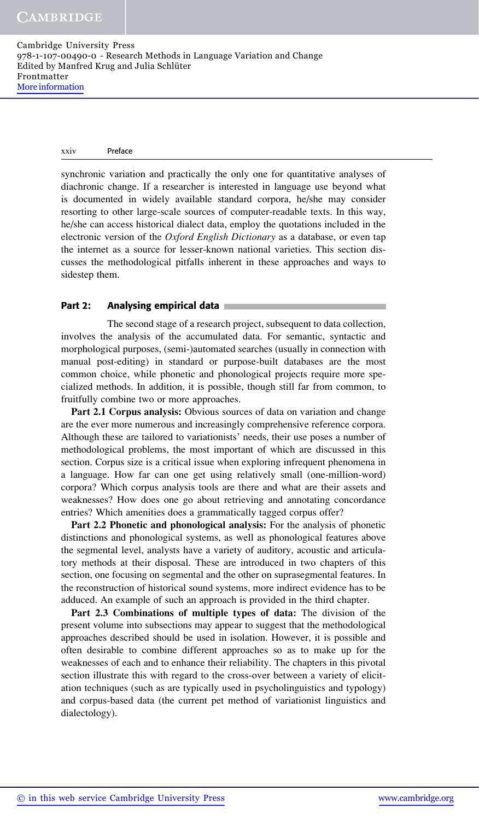xxiv Preface

synchronic variation and practically the only one for quantitative analyses of diachronic change. If a researcher is interested in language use beyond what is documented in widely available standard corpora, he/she may consider resorting to other large-scale sources of computer-readable texts. In this way, he/she can access historical dialect data, employ the quotations included in the electronic version of the *Oxford English Dictionary* as a database, or even tap the internet as a source for lesser-known national varieties. This section discusses the methodological pitfalls inherent in these approaches and ways to sidestep them.

### **Part 2:** Analysing empirical data ■

The second stage of a research project, subsequent to data collection, involves the analysis of the accumulated data. For semantic, syntactic and morphological purposes, (semi-)automated searches (usually in connection with manual post-editing) in standard or purpose-built databases are the most common choice, while phonetic and phonological projects require more specialized methods. In addition, it is possible, though still far from common, to fruitfully combine two or more approaches.

Part 2.1 Corpus analysis: Obvious sources of data on variation and change are the ever more numerous and increasingly comprehensive reference corpora. Although these are tailored to variationists' needs, their use poses a number of methodological problems, the most important of which are discussed in this section. Corpus size is a critical issue when exploring infrequent phenomena in a language. How far can one get using relatively small (one-million-word) corpora? Which corpus analysis tools are there and what are their assets and weaknesses? How does one go about retrieving and annotating concordance entries? Which amenities does a grammatically tagged corpus offer?

Part 2.2 Phonetic and phonological analysis: For the analysis of phonetic distinctions and phonological systems, as well as phonological features above the segmental level, analysts have a variety of auditory, acoustic and articulatory methods at their disposal. These are introduced in two chapters of this section, one focusing on segmental and the other on suprasegmental features. In the reconstruction of historical sound systems, more indirect evidence has to be adduced. An example of such an approach is provided in the third chapter.

Part 2.3 Combinations of multiple types of data: The division of the present volume into subsections may appear to suggest that the methodological approaches described should be used in isolation. However, it is possible and often desirable to combine different approaches so as to make up for the weaknesses of each and to enhance their reliability. The chapters in this pivotal section illustrate this with regard to the cross-over between a variety of elicitation techniques (such as are typically used in psycholinguistics and typology) and corpus-based data (the current pet method of variationist linguistics and dialectology).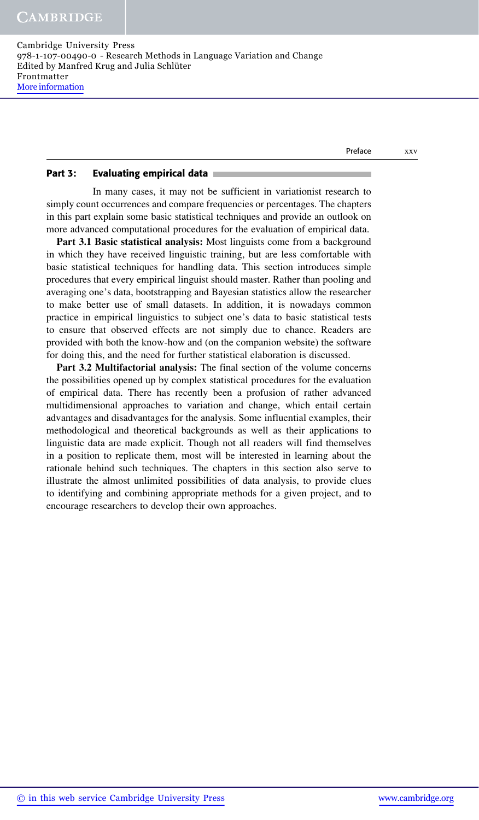Preface xxv

#### Part 3: Evaluating empirical data

In many cases, it may not be sufficient in variationist research to simply count occurrences and compare frequencies or percentages. The chapters in this part explain some basic statistical techniques and provide an outlook on more advanced computational procedures for the evaluation of empirical data.

Part 3.1 Basic statistical analysis: Most linguists come from a background in which they have received linguistic training, but are less comfortable with basic statistical techniques for handling data. This section introduces simple procedures that every empirical linguist should master. Rather than pooling and averaging one's data, bootstrapping and Bayesian statistics allow the researcher to make better use of small datasets. In addition, it is nowadays common practice in empirical linguistics to subject one's data to basic statistical tests to ensure that observed effects are not simply due to chance. Readers are provided with both the know-how and (on the companion website) the software for doing this, and the need for further statistical elaboration is discussed.

Part 3.2 Multifactorial analysis: The final section of the volume concerns the possibilities opened up by complex statistical procedures for the evaluation of empirical data. There has recently been a profusion of rather advanced multidimensional approaches to variation and change, which entail certain advantages and disadvantages for the analysis. Some influential examples, their methodological and theoretical backgrounds as well as their applications to linguistic data are made explicit. Though not all readers will find themselves in a position to replicate them, most will be interested in learning about the rationale behind such techniques. The chapters in this section also serve to illustrate the almost unlimited possibilities of data analysis, to provide clues to identifying and combining appropriate methods for a given project, and to encourage researchers to develop their own approaches.